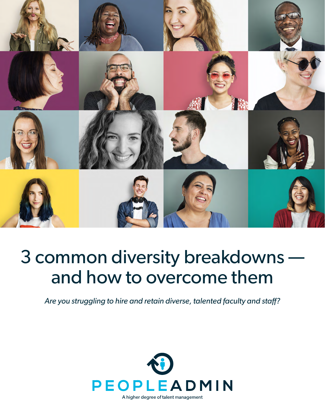

## 3 common diversity breakdowns and how to overcome them

*Are you struggling to hire and retain diverse, talented faculty and staff?*